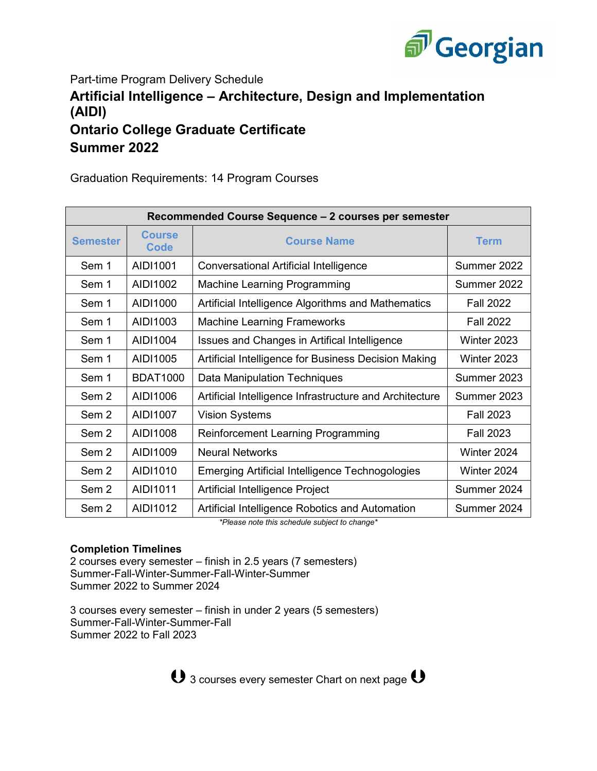

Part-time Program Delivery Schedule **Artificial Intelligence – Architecture, Design and Implementation (AIDI) Ontario College Graduate Certificate Summer 2022**

Graduation Requirements: 14 Program Courses

| Recommended Course Sequence - 2 courses per semester |                       |                                                         |                  |  |
|------------------------------------------------------|-----------------------|---------------------------------------------------------|------------------|--|
| <b>Semester</b>                                      | <b>Course</b><br>Code | <b>Course Name</b>                                      | <b>Term</b>      |  |
| Sem 1                                                | AIDI1001              | <b>Conversational Artificial Intelligence</b>           | Summer 2022      |  |
| Sem 1                                                | AIDI1002              | <b>Machine Learning Programming</b>                     | Summer 2022      |  |
| Sem 1                                                | AID11000              | Artificial Intelligence Algorithms and Mathematics      | <b>Fall 2022</b> |  |
| Sem 1                                                | AIDI1003              | <b>Machine Learning Frameworks</b>                      | <b>Fall 2022</b> |  |
| Sem 1                                                | AIDI1004              | Issues and Changes in Artifical Intelligence            | Winter 2023      |  |
| Sem 1                                                | AIDI1005              | Artificial Intelligence for Business Decision Making    | Winter 2023      |  |
| Sem 1                                                | <b>BDAT1000</b>       | Data Manipulation Techniques                            | Summer 2023      |  |
| Sem 2                                                | AID11006              | Artificial Intelligence Infrastructure and Architecture | Summer 2023      |  |
| Sem 2                                                | AIDI1007              | <b>Vision Systems</b>                                   | <b>Fall 2023</b> |  |
| Sem 2                                                | AIDI1008              | <b>Reinforcement Learning Programming</b>               | <b>Fall 2023</b> |  |
| Sem <sub>2</sub>                                     | AIDI1009              | <b>Neural Networks</b>                                  | Winter 2024      |  |
| Sem <sub>2</sub>                                     | AIDI1010              | Emerging Artificial Intelligence Technogologies         | Winter 2024      |  |
| Sem 2                                                | AIDI1011              | Artificial Intelligence Project                         | Summer 2024      |  |
| Sem <sub>2</sub>                                     | AIDI1012              | Artificial Intelligence Robotics and Automation         | Summer 2024      |  |

*\*Please note this schedule subject to change\**

## **Completion Timelines**

2 courses every semester – finish in 2.5 years (7 semesters) Summer-Fall-Winter-Summer-Fall-Winter-Summer Summer 2022 to Summer 2024

3 courses every semester – finish in under 2 years (5 semesters) Summer-Fall-Winter-Summer-Fall Summer 2022 to Fall 2023